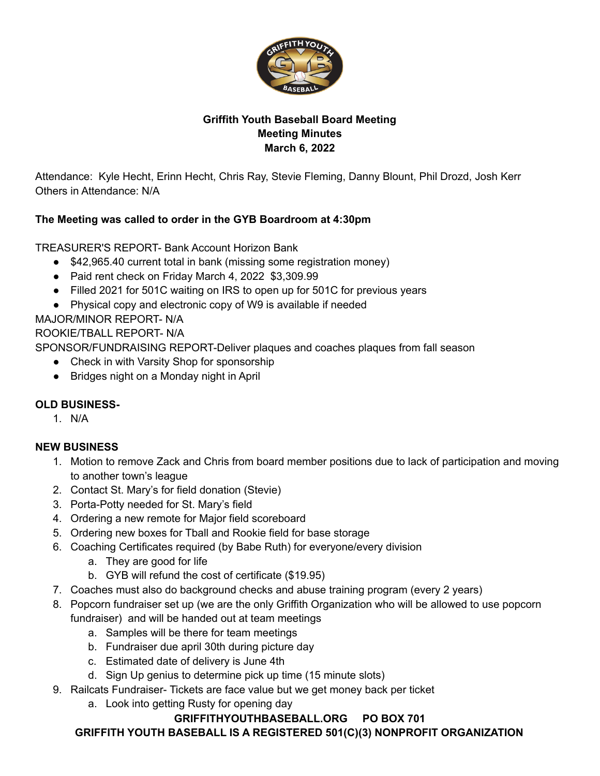

# **Griffith Youth Baseball Board Meeting Meeting Minutes March 6, 2022**

Attendance: Kyle Hecht, Erinn Hecht, Chris Ray, Stevie Fleming, Danny Blount, Phil Drozd, Josh Kerr Others in Attendance: N/A

## **The Meeting was called to order in the GYB Boardroom at 4:30pm**

TREASURER'S REPORT- Bank Account Horizon Bank

- \$42,965.40 current total in bank (missing some registration money)
- Paid rent check on Friday March 4, 2022 \$3,309.99
- Filled 2021 for 501C waiting on IRS to open up for 501C for previous years
- Physical copy and electronic copy of W9 is available if needed

MAJOR/MINOR REPORT- N/A

#### ROOKIE/TBALL REPORT- N/A

SPONSOR/FUNDRAISING REPORT-Deliver plaques and coaches plaques from fall season

- Check in with Varsity Shop for sponsorship
- Bridges night on a Monday night in April

## **OLD BUSINESS-**

1. N/A

## **NEW BUSINESS**

- 1. Motion to remove Zack and Chris from board member positions due to lack of participation and moving to another town's league
- 2. Contact St. Mary's for field donation (Stevie)
- 3. Porta-Potty needed for St. Mary's field
- 4. Ordering a new remote for Major field scoreboard
- 5. Ordering new boxes for Tball and Rookie field for base storage
- 6. Coaching Certificates required (by Babe Ruth) for everyone/every division
	- a. They are good for life
	- b. GYB will refund the cost of certificate (\$19.95)
- 7. Coaches must also do background checks and abuse training program (every 2 years)
- 8. Popcorn fundraiser set up (we are the only Griffith Organization who will be allowed to use popcorn fundraiser) and will be handed out at team meetings
	- a. Samples will be there for team meetings
	- b. Fundraiser due april 30th during picture day
	- c. Estimated date of delivery is June 4th
	- d. Sign Up genius to determine pick up time (15 minute slots)
- 9. Railcats Fundraiser- Tickets are face value but we get money back per ticket
	- a. Look into getting Rusty for opening day

#### **GRIFFITHYOUTHBASEBALL.ORG PO BOX 701**

**GRIFFITH YOUTH BASEBALL IS A REGISTERED 501(C)(3) NONPROFIT ORGANIZATION**